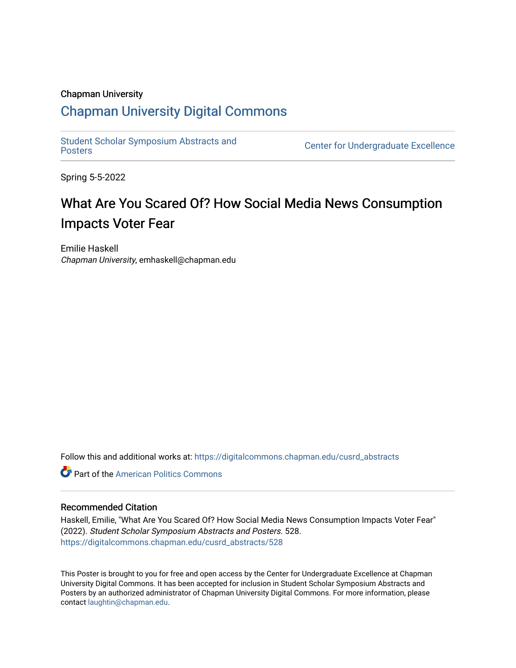### Chapman University

### [Chapman University Digital Commons](https://digitalcommons.chapman.edu/)

[Student Scholar Symposium Abstracts and](https://digitalcommons.chapman.edu/cusrd_abstracts) 

**Center for Undergraduate Excellence** 

Spring 5-5-2022

### What Are You Scared Of? How Social Media News Consumption Impacts Voter Fear

Emilie Haskell Chapman University, emhaskell@chapman.edu

Follow this and additional works at: [https://digitalcommons.chapman.edu/cusrd\\_abstracts](https://digitalcommons.chapman.edu/cusrd_abstracts?utm_source=digitalcommons.chapman.edu%2Fcusrd_abstracts%2F528&utm_medium=PDF&utm_campaign=PDFCoverPages) 

**C** Part of the American Politics Commons

### Recommended Citation

Haskell, Emilie, "What Are You Scared Of? How Social Media News Consumption Impacts Voter Fear" (2022). Student Scholar Symposium Abstracts and Posters. 528. [https://digitalcommons.chapman.edu/cusrd\\_abstracts/528](https://digitalcommons.chapman.edu/cusrd_abstracts/528?utm_source=digitalcommons.chapman.edu%2Fcusrd_abstracts%2F528&utm_medium=PDF&utm_campaign=PDFCoverPages) 

This Poster is brought to you for free and open access by the Center for Undergraduate Excellence at Chapman University Digital Commons. It has been accepted for inclusion in Student Scholar Symposium Abstracts and Posters by an authorized administrator of Chapman University Digital Commons. For more information, please contact [laughtin@chapman.edu](mailto:laughtin@chapman.edu).